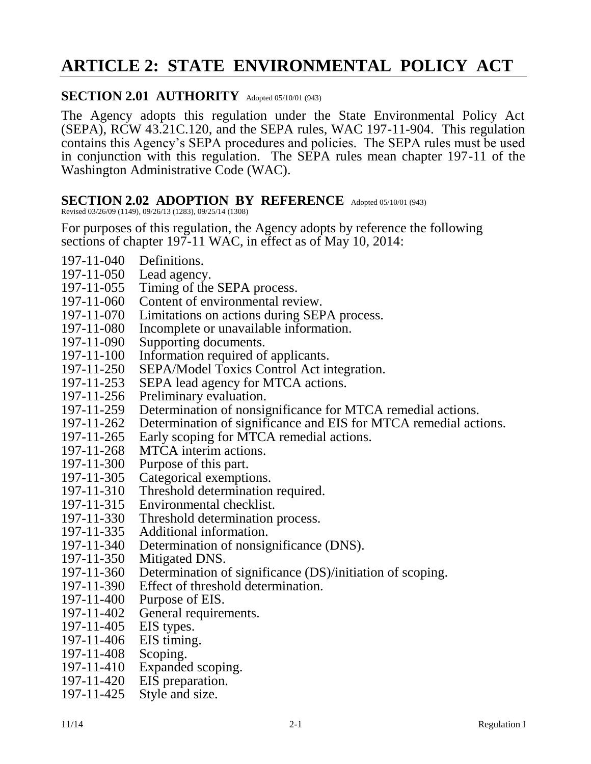# **ARTICLE 2: STATE ENVIRONMENTAL POLICY ACT**

### SECTION 2.01 AUTHORITY Adopted 05/10/01 (943)

The Agency adopts this regulation under the State Environmental Policy Act (SEPA), RCW 43.21C.120, and the SEPA rules, WAC 197-11-904. This regulation contains this Agency's SEPA procedures and policies. The SEPA rules must be used in conjunction with this regulation. The SEPA rules mean chapter 197-11 of the Washington Administrative Code (WAC).

### **SECTION 2.02 ADOPTION BY REFERENCE** Adopted 05/10/01 (943)

Revised 03/26/09 (1149), 09/26/13 (1283), 09/25/14 (1308)

For purposes of this regulation, the Agency adopts by reference the following sections of chapter 197-11 WAC, in effect as of May 10, 2014:

- 197-11-040 Definitions.
- 197-11-050 Lead agency.
- 197-11-055 Timing of the SEPA process.
- 197-11-060 Content of environmental review.
- 197-11-070 Limitations on actions during SEPA process.
- 197-11-080 Incomplete or unavailable information.
- 197-11-090 Supporting documents.
- 197-11-100 Information required of applicants.
- 197-11-250 SEPA/Model Toxics Control Act integration.<br>197-11-253 SEPA lead agency for MTCA actions.
- SEPA lead agency for MTCA actions.
- 197-11-256 Preliminary evaluation.<br>197-11-259 Determination of nonsis
- Determination of nonsignificance for MTCA remedial actions.
- 197-11-262 Determination of significance and EIS for MTCA remedial actions.
- 197-11-265 Early scoping for MTCA remedial actions.
- 197-11-268 MTCA interim actions.
- 197-11-300 Purpose of this part.
- 197-11-305 Categorical exemptions.
- 197-11-310 Threshold determination required.
- 197-11-315 Environmental checklist.
- 197-11-330 Threshold determination process.
- 197-11-335 Additional information.
- 197-11-340 Determination of nonsignificance (DNS).
- 197-11-350 Mitigated DNS.
- 197-11-360 Determination of significance (DS)/initiation of scoping.
- 197-11-390 Effect of threshold determination.
- 197-11-400 Purpose of EIS.
- 197-11-402 General requirements.
- 197-11-405 EIS types.
- 197-11-406 EIS timing.
- 197-11-408 Scoping.
- 197-11-410 Expanded scoping.
- 197-11-420 EIS preparation.
- 197-11-425 Style and size.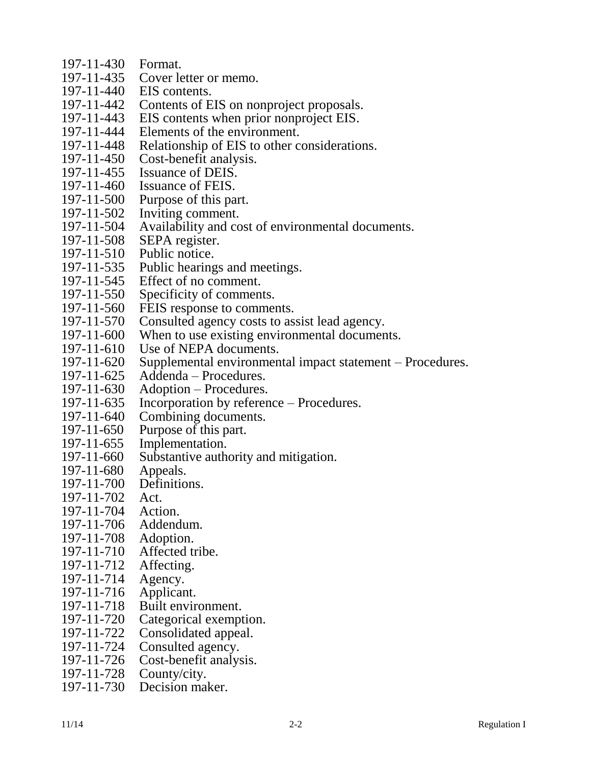- 197-11-430 Format.
- 197-11-435 Cover letter or memo.<br>197-11-440 EIS contents.
- EIS contents.
- 197-11-442 Contents of EIS on nonproject proposals.
- 197-11-443 EIS contents when prior nonproject EIS.
- 197-11-444 Elements of the environment.
- 197-11-448 Relationship of EIS to other considerations.
- 197-11-450 Cost-benefit analysis.
- 197-11-455 Issuance of DEIS.<br>197-11-460 Issuance of FEIS.
- Issuance of FEIS.
- 197-11-500 Purpose of this part.
- 197-11-502 Inviting comment.
- 197-11-504 Availability and cost of environmental documents.
- 197-11-508 SEPA register.
- 197-11-510 Public notice.
- 197-11-535 Public hearings and meetings.<br>197-11-545 Effect of no comment.
- Effect of no comment.
- 197-11-550 Specificity of comments.
- 197-11-560 FEIS response to comments.
- 197-11-570 Consulted agency costs to assist lead agency.
- 197-11-600 When to use existing environmental documents.
- 197-11-610 Use of NEPA documents.
- 197-11-620 Supplemental environmental impact statement Procedures.
- 197-11-625 Addenda Procedures.
- 197-11-630 Adoption Procedures.
- 197-11-635 Incorporation by reference Procedures.
- 197-11-640 Combining documents.
- 197-11-650 Purpose of this part.
- 197-11-655 Implementation.
- 197-11-660 Substantive authority and mitigation.
- 197-11-680 Appeals.<br>197-11-700 Definitio
- Definitions.
- 197-11-702 Act.
- 197-11-704 Action.
- 197-11-706 Addendum.
- 197-11-708 Adoption.
- 197-11-710 Affected tribe.
- 197-11-712 Affecting.
- 197-11-714 Agency.
- 197-11-716 Applicant.
- 197-11-718 Built environment.
- 197-11-720 Categorical exemption.<br>197-11-722 Consolidated appeal.
- Consolidated appeal.
- 197-11-724 Consulted agency.
- 197-11-726 Cost-benefit analysis.
- 197-11-728 County/city.
- 197-11-730 Decision maker.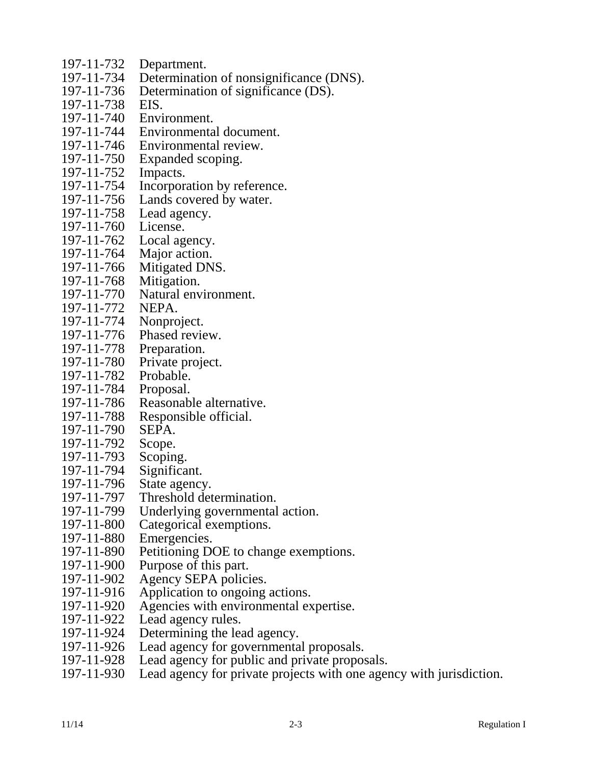- 197-11-732 Department.
- 197-11-734 Determination of nonsignificance (DNS).<br>197-11-736 Determination of significance (DS).
- Determination of significance (DS).
- 197-11-738 EIS.
- 197-11-740 Environment.
- 197-11-744 Environmental document.
- 197-11-746 Environmental review.
- 197-11-750 Expanded scoping.
- 197-11-752 Impacts.
- 197-11-754 Incorporation by reference.
- 197-11-756 Lands covered by water.
- 197-11-758 Lead agency.
- 197-11-760 License.
- 197-11-762 Local agency.
- 197-11-764 Major action.
- 197-11-766 Mitigated DNS.
- 197-11-768 Mitigation.
- 197-11-770 Natural environment.
- 197-11-772 NEPA.
- 197-11-774 Nonproject.
- 197-11-776 Phased review.
- 197-11-778 Preparation.
- 197-11-780 Private project.
- 197-11-782 Probable.
- 197-11-784 Proposal.
- 197-11-786 Reasonable alternative.
- 197-11-788 Responsible official.<br>197-11-790 SEPA.
- $197 11 790$
- 197-11-792 Scope.
- 197-11-793 Scoping.
- 197-11-794 Significant.
- 197-11-796 State agency.
- 197-11-797 Threshold determination.<br>197-11-799 Underlying governmental
- Underlying governmental action.
- 197-11-800 Categorical exemptions.
- 197-11-880 Emergencies.
- 197-11-890 Petitioning DOE to change exemptions.
- 197-11-900 Purpose of this part.
- 197-11-902 Agency SEPA policies.
- 197-11-916 Application to ongoing actions.
- 197-11-920 Agencies with environmental expertise.
- 197-11-922 Lead agency rules.
- 197-11-924 Determining the lead agency.
- 197-11-926 Lead agency for governmental proposals.
- 197-11-928 Lead agency for public and private proposals.
- 197-11-930 Lead agency for private projects with one agency with jurisdiction.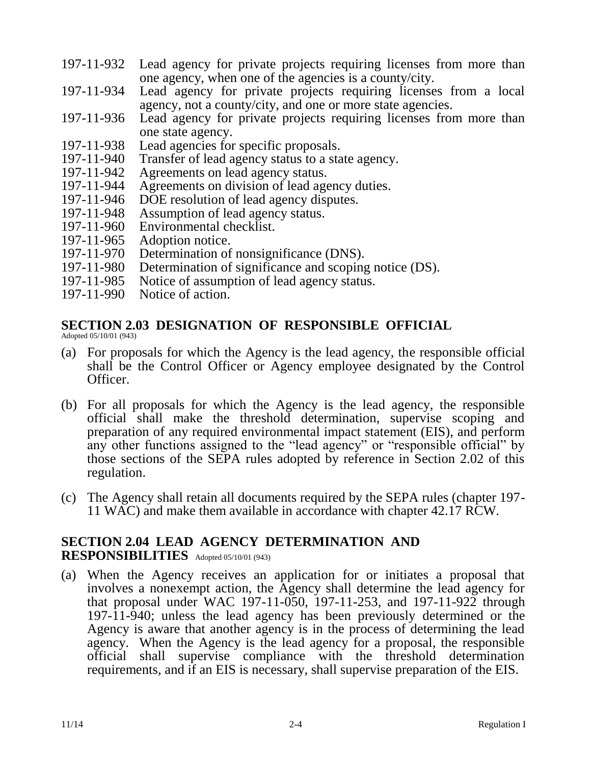- 197-11-932 Lead agency for private projects requiring licenses from more than one agency, when one of the agencies is a county/city.
- 197-11-934 Lead agency for private projects requiring licenses from a local agency, not a county/city, and one or more state agencies.
- 197-11-936 Lead agency for private projects requiring licenses from more than one state agency.
- 197-11-938 Lead agencies for specific proposals.
- 197-11-940 Transfer of lead agency status to a state agency.
- 197-11-942 Agreements on lead agency status.<br>197-11-944 Agreements on division of lead age
- Agreements on division of lead agency duties.
- 197-11-946 DOE resolution of lead agency disputes.
- 197-11-948 Assumption of lead agency status.
- 197-11-960 Environmental checklist.<br>197-11-965 Adoption notice.
- Adoption notice.
- 197-11-970 Determination of nonsignificance (DNS).
- 197-11-980 Determination of significance and scoping notice (DS).
- 197-11-985 Notice of assumption of lead agency status.
- 197-11-990 Notice of action.

### **SECTION 2.03 DESIGNATION OF RESPONSIBLE OFFICIAL**

Adopted 05/10/01 (943)

- (a) For proposals for which the Agency is the lead agency, the responsible official shall be the Control Officer or Agency employee designated by the Control Officer.
- (b) For all proposals for which the Agency is the lead agency, the responsible official shall make the threshold determination, supervise scoping and preparation of any required environmental impact statement (EIS), and perform any other functions assigned to the "lead agency" or "responsible official" by those sections of the SEPA rules adopted by reference in Section 2.02 of this regulation.
- (c) The Agency shall retain all documents required by the SEPA rules (chapter 197- 11 WAC) and make them available in accordance with chapter 42.17 RCW.

### **SECTION 2.04 LEAD AGENCY DETERMINATION AND RESPONSIBILITIES** Adopted 05/10/01 (943)

(a) When the Agency receives an application for or initiates a proposal that involves a nonexempt action, the Agency shall determine the lead agency for that proposal under WAC 197-11-050, 197-11-253, and 197-11-922 through 197-11-940; unless the lead agency has been previously determined or the Agency is aware that another agency is in the process of determining the lead agency. When the Agency is the lead agency for a proposal, the responsible official shall supervise compliance with the threshold determination requirements, and if an EIS is necessary, shall supervise preparation of the EIS.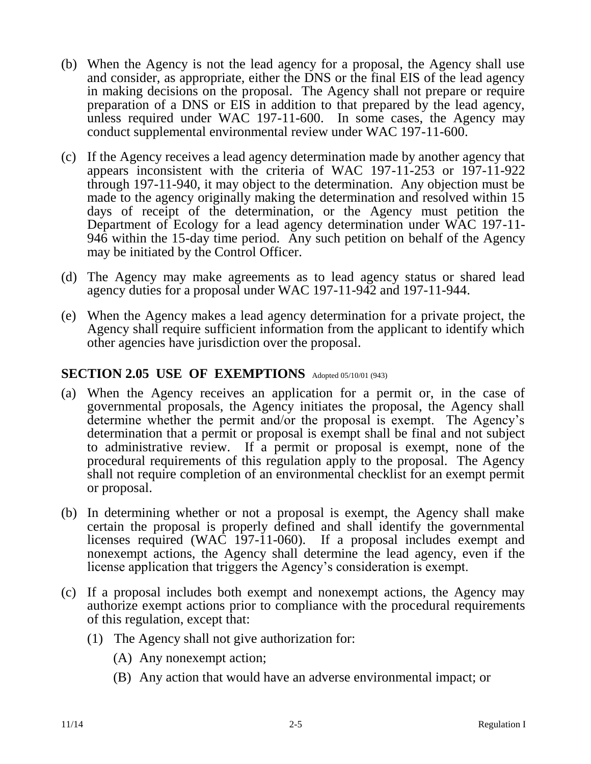- (b) When the Agency is not the lead agency for a proposal, the Agency shall use and consider, as appropriate, either the DNS or the final EIS of the lead agency in making decisions on the proposal. The Agency shall not prepare or require preparation of a DNS or EIS in addition to that prepared by the lead agency, unless required under WAC 197-11-600. In some cases, the Agency may conduct supplemental environmental review under WAC 197-11-600.
- (c) If the Agency receives a lead agency determination made by another agency that appears inconsistent with the criteria of WAC 197-11-253 or 197-11-922 through 197-11-940, it may object to the determination. Any objection must be made to the agency originally making the determination and resolved within 15 days of receipt of the determination, or the Agency must petition the Department of Ecology for a lead agency determination under WAC 197-11- 946 within the 15-day time period. Any such petition on behalf of the Agency may be initiated by the Control Officer.
- (d) The Agency may make agreements as to lead agency status or shared lead agency duties for a proposal under WAC 197-11-942 and 197-11-944.
- (e) When the Agency makes a lead agency determination for a private project, the Agency shall require sufficient information from the applicant to identify which other agencies have jurisdiction over the proposal.

### SECTION 2.05 USE OF EXEMPTIONS Adopted 05/10/01 (943)

- (a) When the Agency receives an application for a permit or, in the case of governmental proposals, the Agency initiates the proposal, the Agency shall determine whether the permit and/or the proposal is exempt. The Agency's determination that a permit or proposal is exempt shall be final and not subject to administrative review. If a permit or proposal is exempt, none of the procedural requirements of this regulation apply to the proposal. The Agency shall not require completion of an environmental checklist for an exempt permit or proposal.
- (b) In determining whether or not a proposal is exempt, the Agency shall make certain the proposal is properly defined and shall identify the governmental licenses required (WAC 197-11-060). If a proposal includes exempt and nonexempt actions, the Agency shall determine the lead agency, even if the license application that triggers the Agency's consideration is exempt.
- (c) If a proposal includes both exempt and nonexempt actions, the Agency may authorize exempt actions prior to compliance with the procedural requirements of this regulation, except that:
	- (1) The Agency shall not give authorization for:
		- (A) Any nonexempt action;
		- (B) Any action that would have an adverse environmental impact; or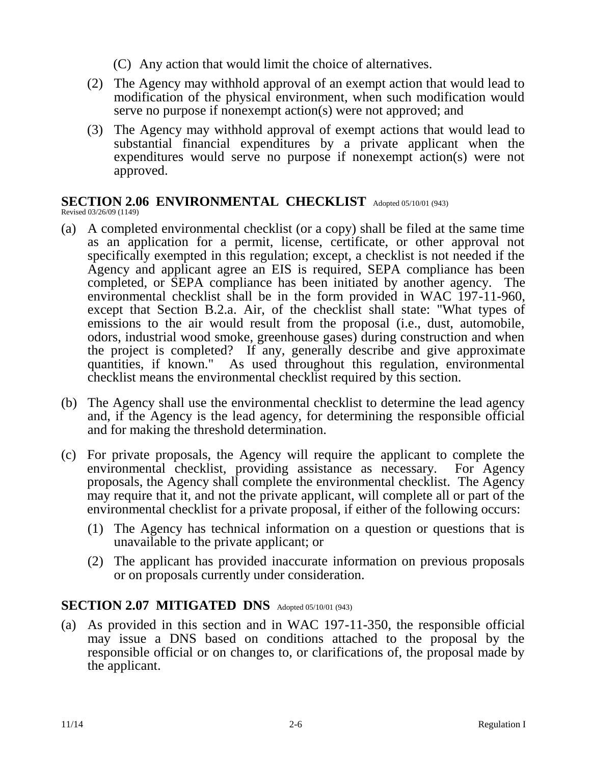(C) Any action that would limit the choice of alternatives.

- (2) The Agency may withhold approval of an exempt action that would lead to modification of the physical environment, when such modification would serve no purpose if nonexempt action(s) were not approved; and
- (3) The Agency may withhold approval of exempt actions that would lead to substantial financial expenditures by a private applicant when the expenditures would serve no purpose if nonexempt action(s) were not approved.

# **SECTION 2.06 ENVIRONMENTAL CHECKLIST** Adopted 05/10/01 (943)

Revised 03/26/09 (1149)

- (a) A completed environmental checklist (or a copy) shall be filed at the same time as an application for a permit, license, certificate, or other approval not specifically exempted in this regulation; except, a checklist is not needed if the Agency and applicant agree an EIS is required, SEPA compliance has been completed, or SEPA compliance has been initiated by another agency. The environmental checklist shall be in the form provided in WAC 197-11-960, except that Section B.2.a. Air, of the checklist shall state: "What types of emissions to the air would result from the proposal (i.e., dust, automobile, odors, industrial wood smoke, greenhouse gases) during construction and when the project is completed? If any, generally describe and give approximate quantities, if known." As used throughout this regulation, environmental checklist means the environmental checklist required by this section.
- (b) The Agency shall use the environmental checklist to determine the lead agency and, if the Agency is the lead agency, for determining the responsible official and for making the threshold determination.
- (c) For private proposals, the Agency will require the applicant to complete the environmental checklist, providing assistance as necessary. For Agency proposals, the Agency shall complete the environmental checklist. The Agency may require that it, and not the private applicant, will complete all or part of the environmental checklist for a private proposal, if either of the following occurs:
	- (1) The Agency has technical information on a question or questions that is unavailable to the private applicant; or
	- (2) The applicant has provided inaccurate information on previous proposals or on proposals currently under consideration.

# SECTION 2.07 MITIGATED DNS Adopted 05/10/01 (943)

(a) As provided in this section and in WAC 197-11-350, the responsible official may issue a DNS based on conditions attached to the proposal by the responsible official or on changes to, or clarifications of, the proposal made by the applicant.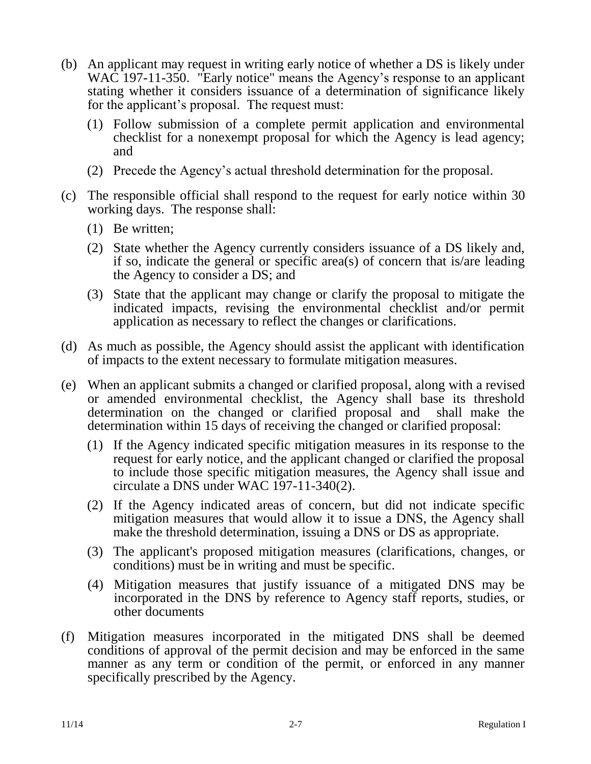- (b) An applicant may request in writing early notice of whether a DS is likely under WAC 197-11-350. "Early notice" means the Agency's response to an applicant stating whether it considers issuance of a determination of significance likely for the applicant's proposal. The request must:
	- (1) Follow submission of a complete permit application and environmental checklist for a nonexempt proposal for which the Agency is lead agency; and
	- (2) Precede the Agency's actual threshold determination for the proposal.
- (c) The responsible official shall respond to the request for early notice within 30 working days. The response shall:
	- (1) Be written;
	- (2) State whether the Agency currently considers issuance of a DS likely and, if so, indicate the general or specific area(s) of concern that is/are leading the Agency to consider a DS; and
	- (3) State that the applicant may change or clarify the proposal to mitigate the indicated impacts, revising the environmental checklist and/or permit application as necessary to reflect the changes or clarifications.
- (d) As much as possible, the Agency should assist the applicant with identification of impacts to the extent necessary to formulate mitigation measures.
- (e) When an applicant submits a changed or clarified proposal, along with a revised or amended environmental checklist, the Agency shall base its threshold determination on the changed or clarified proposal and shall make the determination within 15 days of receiving the changed or clarified proposal:
	- (1) If the Agency indicated specific mitigation measures in its response to the request for early notice, and the applicant changed or clarified the proposal to include those specific mitigation measures, the Agency shall issue and circulate a DNS under WAC 197-11-340(2).
	- (2) If the Agency indicated areas of concern, but did not indicate specific mitigation measures that would allow it to issue a DNS, the Agency shall make the threshold determination, issuing a DNS or DS as appropriate.
	- (3) The applicant's proposed mitigation measures (clarifications, changes, or conditions) must be in writing and must be specific.
	- (4) Mitigation measures that justify issuance of a mitigated DNS may be incorporated in the DNS by reference to Agency staff reports, studies, or other documents
- (f) Mitigation measures incorporated in the mitigated DNS shall be deemed conditions of approval of the permit decision and may be enforced in the same manner as any term or condition of the permit, or enforced in any manner specifically prescribed by the Agency.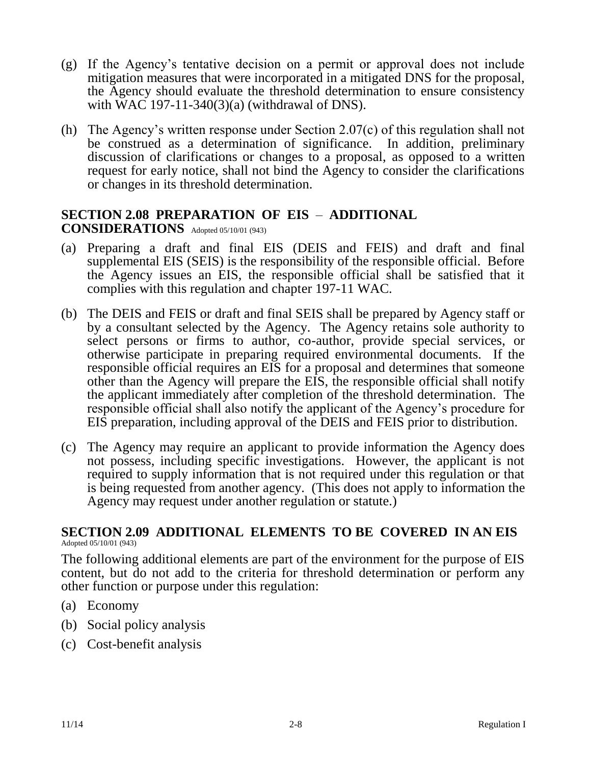- (g) If the Agency's tentative decision on a permit or approval does not include mitigation measures that were incorporated in a mitigated DNS for the proposal, the Agency should evaluate the threshold determination to ensure consistency with WAC 197-11-340(3)(a) (withdrawal of DNS).
- (h) The Agency's written response under Section 2.07(c) of this regulation shall not be construed as a determination of significance. In addition, preliminary discussion of clarifications or changes to a proposal, as opposed to a written request for early notice, shall not bind the Agency to consider the clarifications or changes in its threshold determination.

#### **SECTION 2.08 PREPARATION OF EIS** – **ADDITIONAL CONSIDERATIONS** Adopted 05/10/01 (943)

- (a) Preparing a draft and final EIS (DEIS and FEIS) and draft and final supplemental EIS (SEIS) is the responsibility of the responsible official. Before the Agency issues an EIS, the responsible official shall be satisfied that it complies with this regulation and chapter 197-11 WAC.
- (b) The DEIS and FEIS or draft and final SEIS shall be prepared by Agency staff or by a consultant selected by the Agency. The Agency retains sole authority to select persons or firms to author, co-author, provide special services, or otherwise participate in preparing required environmental documents. If the responsible official requires an EIS for a proposal and determines that someone other than the Agency will prepare the EIS, the responsible official shall notify the applicant immediately after completion of the threshold determination. The responsible official shall also notify the applicant of the Agency's procedure for EIS preparation, including approval of the DEIS and FEIS prior to distribution.
- (c) The Agency may require an applicant to provide information the Agency does not possess, including specific investigations. However, the applicant is not required to supply information that is not required under this regulation or that is being requested from another agency. (This does not apply to information the Agency may request under another regulation or statute.)

#### **SECTION 2.09 ADDITIONAL ELEMENTS TO BE COVERED IN AN EIS** Adopted 05/10/01 (943)

The following additional elements are part of the environment for the purpose of EIS content, but do not add to the criteria for threshold determination or perform any other function or purpose under this regulation:

- (a) Economy
- (b) Social policy analysis
- (c) Cost-benefit analysis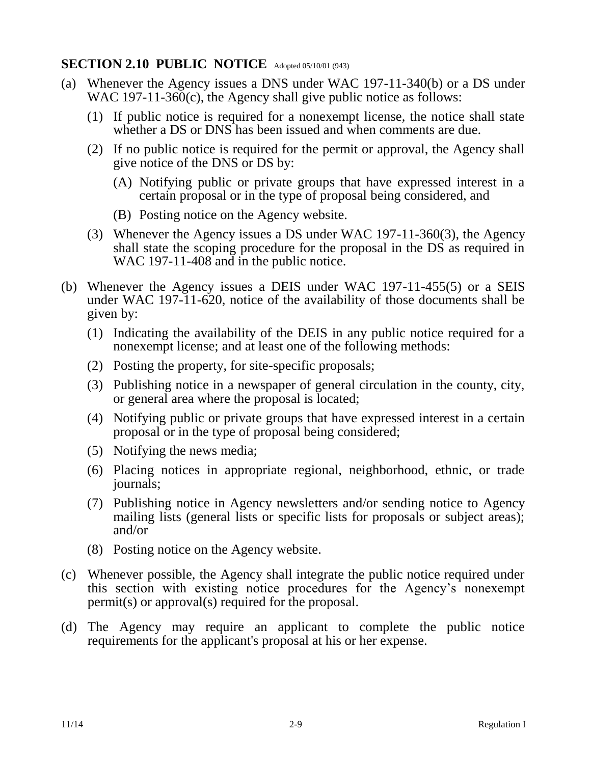# **SECTION 2.10 PUBLIC NOTICE** Adopted 05/10/01 (943)

- (a) Whenever the Agency issues a DNS under WAC 197-11-340(b) or a DS under WAC 197-11-36 $\overline{0}$ (c), the Agency shall give public notice as follows:
	- (1) If public notice is required for a nonexempt license, the notice shall state whether a DS or DNS has been issued and when comments are due.
	- (2) If no public notice is required for the permit or approval, the Agency shall give notice of the DNS or DS by:
		- (A) Notifying public or private groups that have expressed interest in a certain proposal or in the type of proposal being considered, and
		- (B) Posting notice on the Agency website.
	- (3) Whenever the Agency issues a DS under WAC 197-11-360(3), the Agency shall state the scoping procedure for the proposal in the DS as required in WAC 197-11-408 and in the public notice.
- (b) Whenever the Agency issues a DEIS under WAC 197-11-455(5) or a SEIS under WAC 197-11-620, notice of the availability of those documents shall be given by:
	- (1) Indicating the availability of the DEIS in any public notice required for a nonexempt license; and at least one of the following methods:
	- (2) Posting the property, for site-specific proposals;
	- (3) Publishing notice in a newspaper of general circulation in the county, city, or general area where the proposal is located;
	- (4) Notifying public or private groups that have expressed interest in a certain proposal or in the type of proposal being considered;
	- (5) Notifying the news media;
	- (6) Placing notices in appropriate regional, neighborhood, ethnic, or trade journals;
	- (7) Publishing notice in Agency newsletters and/or sending notice to Agency mailing lists (general lists or specific lists for proposals or subject areas); and/or
	- (8) Posting notice on the Agency website.
- (c) Whenever possible, the Agency shall integrate the public notice required under this section with existing notice procedures for the Agency's nonexempt permit(s) or approval(s) required for the proposal.
- (d) The Agency may require an applicant to complete the public notice requirements for the applicant's proposal at his or her expense.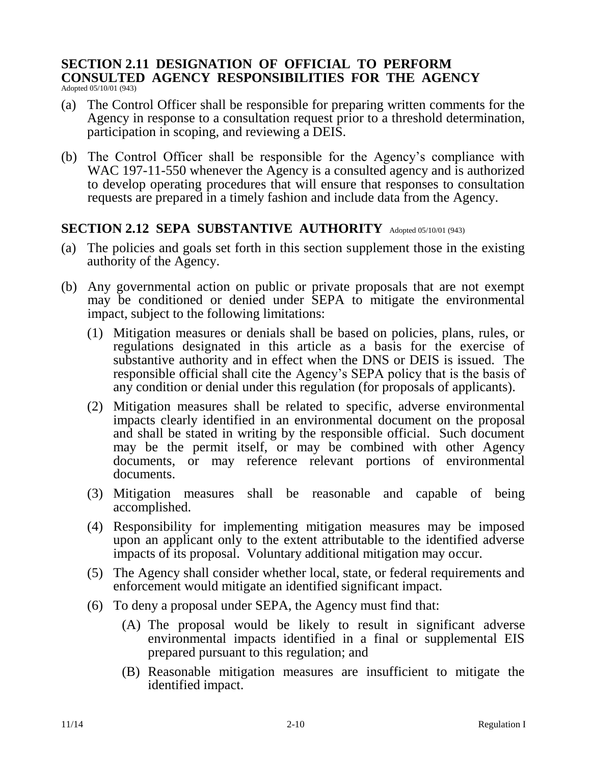# **SECTION 2.11 DESIGNATION OF OFFICIAL TO PERFORM CONSULTED AGENCY RESPONSIBILITIES FOR THE AGENCY**

Adopted 05/10/01 (943)

- (a) The Control Officer shall be responsible for preparing written comments for the Agency in response to a consultation request prior to a threshold determination, participation in scoping, and reviewing a DEIS.
- (b) The Control Officer shall be responsible for the Agency's compliance with WAC 197-11-550 whenever the Agency is a consulted agency and is authorized to develop operating procedures that will ensure that responses to consultation requests are prepared in a timely fashion and include data from the Agency.

### **SECTION 2.12 SEPA SUBSTANTIVE AUTHORITY** Adopted 05/10/01 (943)

- (a) The policies and goals set forth in this section supplement those in the existing authority of the Agency.
- (b) Any governmental action on public or private proposals that are not exempt may be conditioned or denied under SEPA to mitigate the environmental impact, subject to the following limitations:
	- (1) Mitigation measures or denials shall be based on policies, plans, rules, or regulations designated in this article as a basis for the exercise of substantive authority and in effect when the DNS or DEIS is issued. The responsible official shall cite the Agency's SEPA policy that is the basis of any condition or denial under this regulation (for proposals of applicants).
	- (2) Mitigation measures shall be related to specific, adverse environmental impacts clearly identified in an environmental document on the proposal and shall be stated in writing by the responsible official. Such document may be the permit itself, or may be combined with other Agency documents, or may reference relevant portions of environmental documents.
	- (3) Mitigation measures shall be reasonable and capable of being accomplished.
	- (4) Responsibility for implementing mitigation measures may be imposed upon an applicant only to the extent attributable to the identified adverse impacts of its proposal. Voluntary additional mitigation may occur.
	- (5) The Agency shall consider whether local, state, or federal requirements and enforcement would mitigate an identified significant impact.
	- (6) To deny a proposal under SEPA, the Agency must find that:
		- (A) The proposal would be likely to result in significant adverse environmental impacts identified in a final or supplemental EIS prepared pursuant to this regulation; and
		- (B) Reasonable mitigation measures are insufficient to mitigate the identified impact.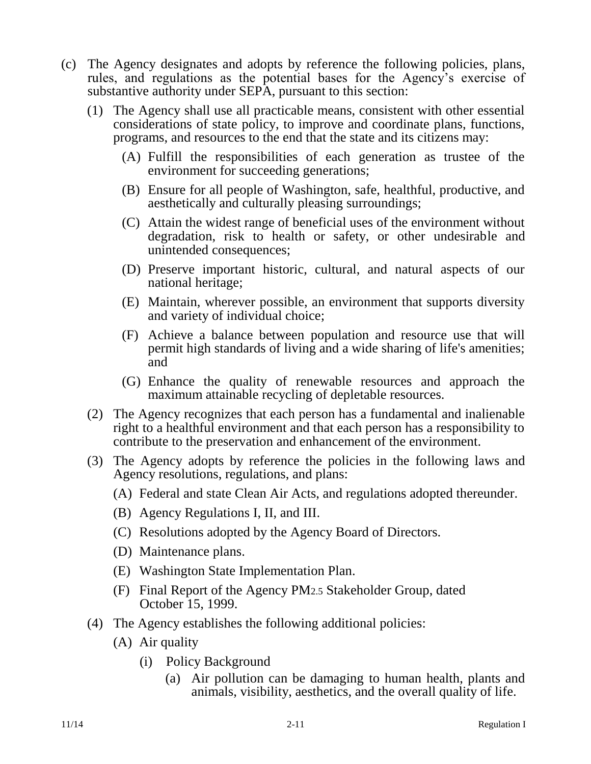- (c) The Agency designates and adopts by reference the following policies, plans, rules, and regulations as the potential bases for the Agency's exercise of substantive authority under SEPA, pursuant to this section:
	- (1) The Agency shall use all practicable means, consistent with other essential considerations of state policy, to improve and coordinate plans, functions, programs, and resources to the end that the state and its citizens may:
		- (A) Fulfill the responsibilities of each generation as trustee of the environment for succeeding generations;
		- (B) Ensure for all people of Washington, safe, healthful, productive, and aesthetically and culturally pleasing surroundings;
		- (C) Attain the widest range of beneficial uses of the environment without degradation, risk to health or safety, or other undesirable and unintended consequences;
		- (D) Preserve important historic, cultural, and natural aspects of our national heritage;
		- (E) Maintain, wherever possible, an environment that supports diversity and variety of individual choice;
		- (F) Achieve a balance between population and resource use that will permit high standards of living and a wide sharing of life's amenities; and
		- (G) Enhance the quality of renewable resources and approach the maximum attainable recycling of depletable resources.
	- (2) The Agency recognizes that each person has a fundamental and inalienable right to a healthful environment and that each person has a responsibility to contribute to the preservation and enhancement of the environment.
	- (3) The Agency adopts by reference the policies in the following laws and Agency resolutions, regulations, and plans:
		- (A) Federal and state Clean Air Acts, and regulations adopted thereunder.
		- (B) Agency Regulations I, II, and III.
		- (C) Resolutions adopted by the Agency Board of Directors.
		- (D) Maintenance plans.
		- (E) Washington State Implementation Plan.
		- (F) Final Report of the Agency PM2.5 Stakeholder Group, dated October 15, 1999.
	- (4) The Agency establishes the following additional policies:
		- (A) Air quality
			- (i) Policy Background
				- (a) Air pollution can be damaging to human health, plants and animals, visibility, aesthetics, and the overall quality of life.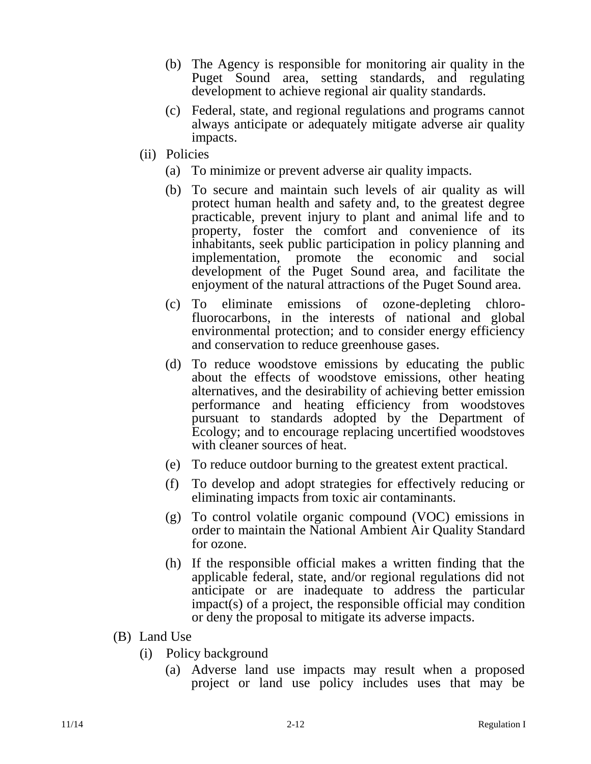- (b) The Agency is responsible for monitoring air quality in the Puget Sound area, setting standards, and regulating development to achieve regional air quality standards.
- (c) Federal, state, and regional regulations and programs cannot always anticipate or adequately mitigate adverse air quality impacts.
- (ii) Policies
	- (a) To minimize or prevent adverse air quality impacts.
	- (b) To secure and maintain such levels of air quality as will protect human health and safety and, to the greatest degree practicable, prevent injury to plant and animal life and to property, foster the comfort and convenience of its inhabitants, seek public participation in policy planning and implementation, promote the economic and social development of the Puget Sound area, and facilitate the enjoyment of the natural attractions of the Puget Sound area.
	- (c) To eliminate emissions of ozone-depleting chlorofluorocarbons, in the interests of national and global environmental protection; and to consider energy efficiency and conservation to reduce greenhouse gases.
	- (d) To reduce woodstove emissions by educating the public about the effects of woodstove emissions, other heating alternatives, and the desirability of achieving better emission performance and heating efficiency from woodstoves pursuant to standards adopted by the Department of Ecology; and to encourage replacing uncertified woodstoves with cleaner sources of heat.
	- (e) To reduce outdoor burning to the greatest extent practical.
	- (f) To develop and adopt strategies for effectively reducing or eliminating impacts from toxic air contaminants.
	- (g) To control volatile organic compound (VOC) emissions in order to maintain the National Ambient Air Quality Standard for ozone.
	- (h) If the responsible official makes a written finding that the applicable federal, state, and/or regional regulations did not anticipate or are inadequate to address the particular impact(s) of a project, the responsible official may condition or deny the proposal to mitigate its adverse impacts.
- (B) Land Use
	- (i) Policy background
		- (a) Adverse land use impacts may result when a proposed project or land use policy includes uses that may be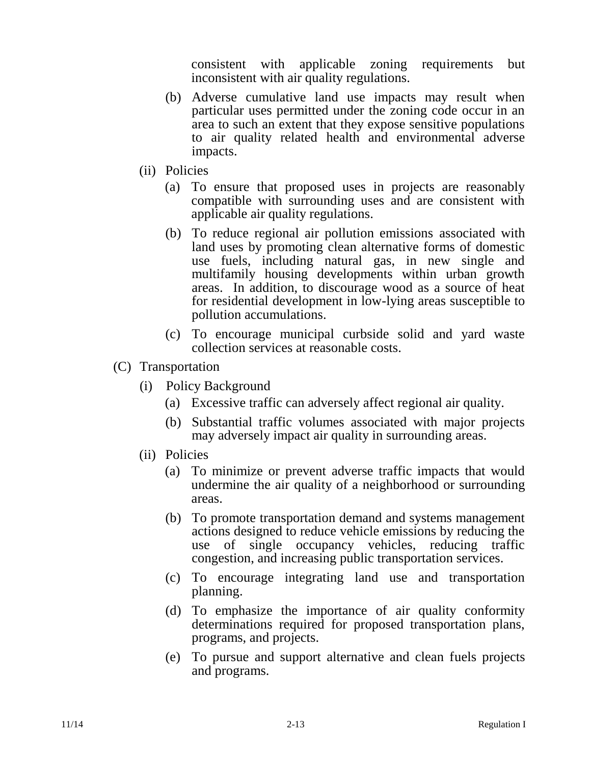consistent with applicable zoning requirements but inconsistent with air quality regulations.

- (b) Adverse cumulative land use impacts may result when particular uses permitted under the zoning code occur in an area to such an extent that they expose sensitive populations to air quality related health and environmental adverse impacts.
- (ii) Policies
	- (a) To ensure that proposed uses in projects are reasonably compatible with surrounding uses and are consistent with applicable air quality regulations.
	- (b) To reduce regional air pollution emissions associated with land uses by promoting clean alternative forms of domestic use fuels, including natural gas, in new single and multifamily housing developments within urban growth areas. In addition, to discourage wood as a source of heat for residential development in low-lying areas susceptible to pollution accumulations.
	- (c) To encourage municipal curbside solid and yard waste collection services at reasonable costs.
- (C) Transportation
	- (i) Policy Background
		- (a) Excessive traffic can adversely affect regional air quality.
		- (b) Substantial traffic volumes associated with major projects may adversely impact air quality in surrounding areas.
	- (ii) Policies
		- (a) To minimize or prevent adverse traffic impacts that would undermine the air quality of a neighborhood or surrounding areas.
		- (b) To promote transportation demand and systems management actions designed to reduce vehicle emissions by reducing the use of single occupancy vehicles, reducing traffic congestion, and increasing public transportation services.
		- (c) To encourage integrating land use and transportation planning.
		- (d) To emphasize the importance of air quality conformity determinations required for proposed transportation plans, programs, and projects.
		- (e) To pursue and support alternative and clean fuels projects and programs.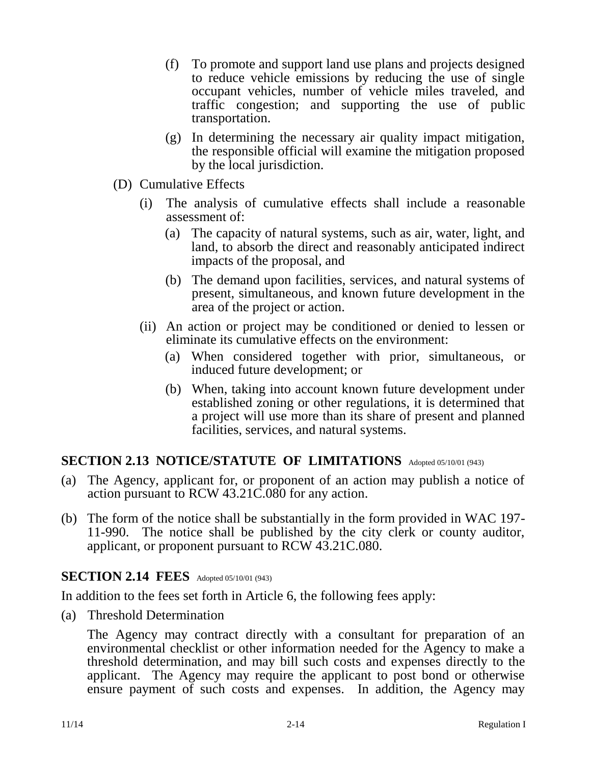- (f) To promote and support land use plans and projects designed to reduce vehicle emissions by reducing the use of single occupant vehicles, number of vehicle miles traveled, and traffic congestion; and supporting the use of public transportation.
- (g) In determining the necessary air quality impact mitigation, the responsible official will examine the mitigation proposed by the local jurisdiction.
- (D) Cumulative Effects
	- (i) The analysis of cumulative effects shall include a reasonable assessment of:
		- (a) The capacity of natural systems, such as air, water, light, and land, to absorb the direct and reasonably anticipated indirect impacts of the proposal, and
		- (b) The demand upon facilities, services, and natural systems of present, simultaneous, and known future development in the area of the project or action.
	- (ii) An action or project may be conditioned or denied to lessen or eliminate its cumulative effects on the environment:
		- (a) When considered together with prior, simultaneous, or induced future development; or
		- (b) When, taking into account known future development under established zoning or other regulations, it is determined that a project will use more than its share of present and planned facilities, services, and natural systems.

# **SECTION 2.13 NOTICE/STATUTE OF LIMITATIONS** Adopted 05/10/01 (943)

- (a) The Agency, applicant for, or proponent of an action may publish a notice of action pursuant to RCW 43.21C.080 for any action.
- (b) The form of the notice shall be substantially in the form provided in WAC 197- 11-990. The notice shall be published by the city clerk or county auditor, applicant, or proponent pursuant to RCW 43.21C.080.

# **SECTION 2.14 FEES** Adopted 05/10/01 (943)

In addition to the fees set forth in Article 6, the following fees apply:

(a) Threshold Determination

The Agency may contract directly with a consultant for preparation of an environmental checklist or other information needed for the Agency to make a threshold determination, and may bill such costs and expenses directly to the applicant. The Agency may require the applicant to post bond or otherwise ensure payment of such costs and expenses. In addition, the Agency may